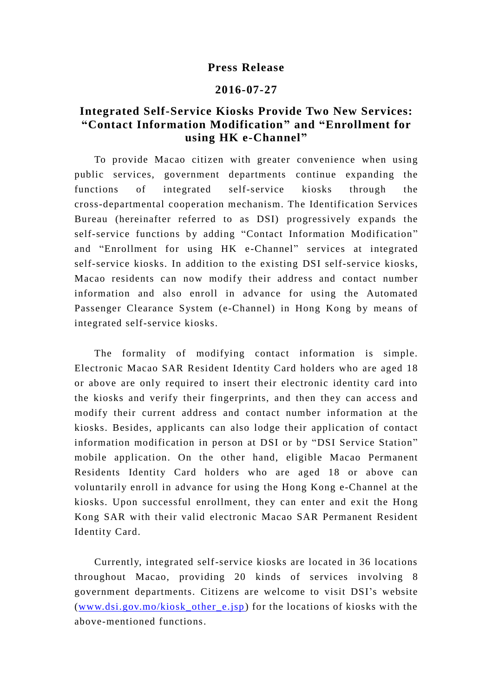## **Press Release**

## **2016-07-27**

## **Integrated Self-Service Kiosks Provide Two New Services: "Contact Information Modification" and "Enrollment for using HK e-Channel"**

To provide Macao citizen with greater convenience when using public services, government departments continue expanding the functions of integrated self-service kiosks through the cross-departmental cooperation mechanism. The Identification Services Bureau (hereinafter referred to as DSI) progressively expands the self-service functions by adding "Contact Information Modification " and "Enrollment for using HK e-Channel" services at integrated self-service kiosks. In addition to the existing DSI self-service kiosks, Macao residents can now modify their address and contact number information and also enroll in advance for using the Automated Passenger Clearance System (e-Channel) in Hong Kong by means of integrated self-service kiosks.

The formality of modifying contact information is simple. Electronic Macao SAR Resident Identity Card holders who are aged 18 or above are only required to insert their electronic identity card into the kiosks and verify their fingerprints, and then they can access and modify their current address and contact number information at the kiosks. Besides, applicants can also lodge their application of contact information modification in person at DSI or by "DSI Service Station" mobile application. On the other hand, eligible Macao Permanent Residents Identity Card holders who are aged 18 or above can voluntarily enroll in advance for using the Hong Kong e-Channel at the kiosks. Upon successful enrollment, they can enter and exit the Hong Kong SAR with their valid electronic Macao SAR Permanent Resident Identity Card.

Currently, integrated self-service kiosks are located in 36 locations throughout Macao, providing 20 kinds of services involving 8 government departments. Citizens are welcome to visit DSI's website (www.dsi.gov.mo/kiosk other  $e$ .jsp) for the locations of kiosks with the above-mentioned functions.